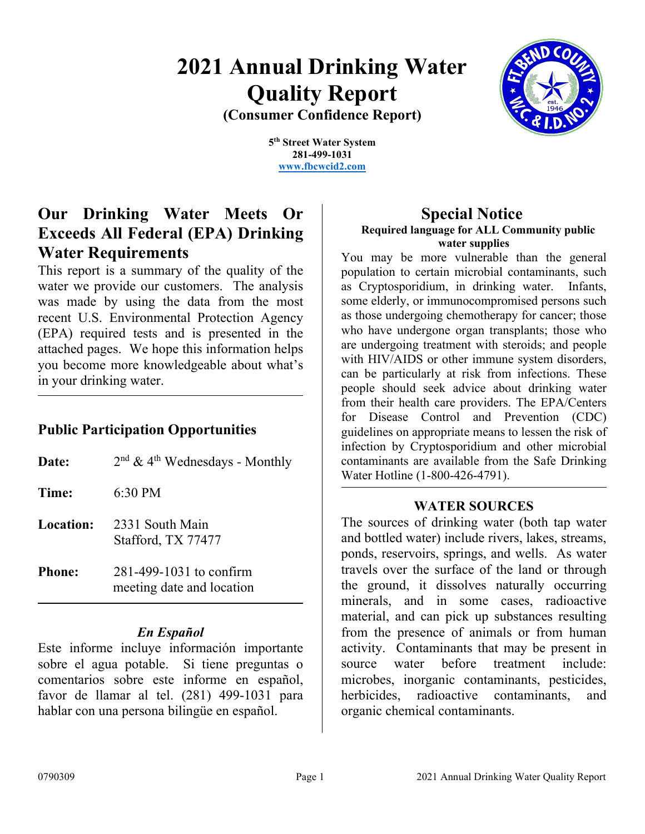# **2021 Annual Drinking Water Quality Report (Consumer Confidence Report)**



**5th Street Water System 281-499-1031 [www.fbcwcid2.com](http://www.fbcwcid2.com/)**

# **Our Drinking Water Meets Or Exceeds All Federal (EPA) Drinking Water Requirements**

This report is a summary of the quality of the water we provide our customers. The analysis was made by using the data from the most recent U.S. Environmental Protection Agency (EPA) required tests and is presented in the attached pages. We hope this information helps you become more knowledgeable about what's in your drinking water.

# **Public Participation Opportunities**

| Date:         | $2nd$ & 4 <sup>th</sup> Wednesdays - Monthly         |
|---------------|------------------------------------------------------|
| Time:         | $6:30 \text{ PM}$                                    |
| Location:     | 2331 South Main<br>Stafford, TX 77477                |
| <b>Phone:</b> | 281-499-1031 to confirm<br>meeting date and location |

## *En Español*

Este informe incluye información importante sobre el agua potable. Si tiene preguntas o comentarios sobre este informe en español, favor de llamar al tel. (281) 499-1031 para hablar con una persona bilingüe en español.

# **Special Notice Required language for ALL Community public water supplies**

You may be more vulnerable than the general population to certain microbial contaminants, such as Cryptosporidium, in drinking water. Infants, some elderly, or immunocompromised persons such as those undergoing chemotherapy for cancer; those who have undergone organ transplants; those who are undergoing treatment with steroids; and people with HIV/AIDS or other immune system disorders, can be particularly at risk from infections. These people should seek advice about drinking water from their health care providers. The EPA/Centers for Disease Control and Prevention (CDC) guidelines on appropriate means to lessen the risk of infection by Cryptosporidium and other microbial contaminants are available from the Safe Drinking Water Hotline (1-800-426-4791).

## **WATER SOURCES**

The sources of drinking water (both tap water and bottled water) include rivers, lakes, streams, ponds, reservoirs, springs, and wells. As water travels over the surface of the land or through the ground, it dissolves naturally occurring minerals, and in some cases, radioactive material, and can pick up substances resulting from the presence of animals or from human activity. Contaminants that may be present in source water before treatment include: microbes, inorganic contaminants, pesticides, herbicides, radioactive contaminants, and organic chemical contaminants.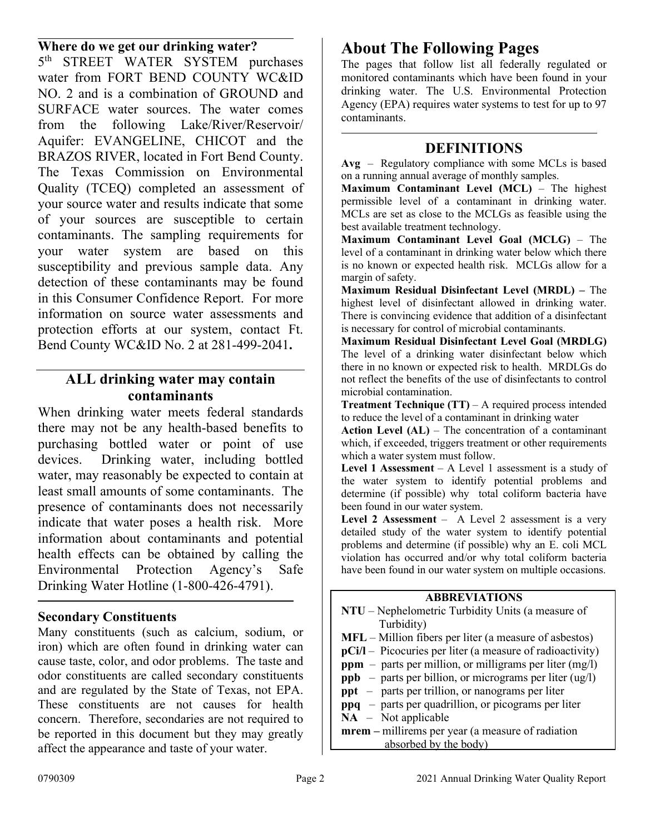# **Where do we get our drinking water?**

5<sup>th</sup> STREET WATER SYSTEM purchases water from FORT BEND COUNTY WC&ID NO. 2 and is a combination of GROUND and SURFACE water sources. The water comes from the following Lake/River/Reservoir/ Aquifer: EVANGELINE, CHICOT and the BRAZOS RIVER, located in Fort Bend County. The Texas Commission on Environmental Quality (TCEQ) completed an assessment of your source water and results indicate that some of your sources are susceptible to certain contaminants. The sampling requirements for your water system are based on this susceptibility and previous sample data. Any detection of these contaminants may be found in this Consumer Confidence Report. For more information on source water assessments and protection efforts at our system, contact Ft. Bend County WC&ID No. 2 at 281-499-2041**.**

## **ALL drinking water may contain contaminants**

When drinking water meets federal standards there may not be any health-based benefits to purchasing bottled water or point of use devices. Drinking water, including bottled water, may reasonably be expected to contain at least small amounts of some contaminants. The presence of contaminants does not necessarily indicate that water poses a health risk. More information about contaminants and potential health effects can be obtained by calling the Environmental Protection Agency's Safe Drinking Water Hotline (1-800-426-4791).

## **Secondary Constituents**

Many constituents (such as calcium, sodium, or iron) which are often found in drinking water can cause taste, color, and odor problems. The taste and odor constituents are called secondary constituents and are regulated by the State of Texas, not EPA. These constituents are not causes for health concern. Therefore, secondaries are not required to be reported in this document but they may greatly affect the appearance and taste of your water.

# **About The Following Pages**

The pages that follow list all federally regulated or monitored contaminants which have been found in your drinking water. The U.S. Environmental Protection Agency (EPA) requires water systems to test for up to 97 contaminants.

#### **DEFINITIONS**

**Avg** – Regulatory compliance with some MCLs is based on a running annual average of monthly samples.

**Maximum Contaminant Level (MCL)** – The highest permissible level of a contaminant in drinking water. MCLs are set as close to the MCLGs as feasible using the best available treatment technology.

**Maximum Contaminant Level Goal (MCLG)** – The level of a contaminant in drinking water below which there is no known or expected health risk. MCLGs allow for a margin of safety.

**Maximum Residual Disinfectant Level (MRDL) –** The highest level of disinfectant allowed in drinking water. There is convincing evidence that addition of a disinfectant is necessary for control of microbial contaminants.

**Maximum Residual Disinfectant Level Goal (MRDLG)** The level of a drinking water disinfectant below which there in no known or expected risk to health. MRDLGs do not reflect the benefits of the use of disinfectants to control microbial contamination.

**Treatment Technique (TT)** – A required process intended to reduce the level of a contaminant in drinking water

**Action Level (AL)** – The concentration of a contaminant which, if exceeded, triggers treatment or other requirements which a water system must follow.

**Level 1 Assessment** – A Level 1 assessment is a study of the water system to identify potential problems and determine (if possible) why total coliform bacteria have been found in our water system.

**Level 2 Assessment** – A Level 2 assessment is a very detailed study of the water system to identify potential problems and determine (if possible) why an E. coli MCL violation has occurred and/or why total coliform bacteria have been found in our water system on multiple occasions.

#### **ABBREVIATIONS**

**NTU** – Nephelometric Turbidity Units (a measure of Turbidity) **MFL** – Million fibers per liter (a measure of asbestos) **pCi/l** – Picocuries per liter (a measure of radioactivity) **ppm** – parts per million, or milligrams per liter (mg/l) **ppb** – parts per billion, or micrograms per liter (ug/l) **ppt** – parts per trillion, or nanograms per liter **ppq** – parts per quadrillion, or picograms per liter **NA** – Not applicable **mrem –** millirems per year (a measure of radiation absorbed by the body)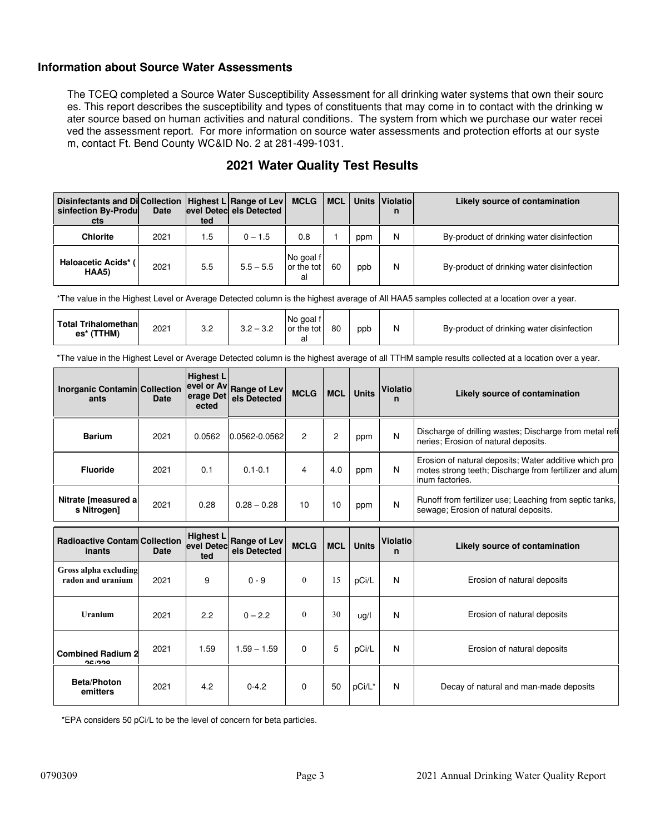#### **Information about Source Water Assessments**

The TCEQ completed a Source Water Susceptibility Assessment for all drinking water systems that own their sourc es. This report describes the susceptibility and types of constituents that may come in to contact with the drinking w ater source based on human activities and natural conditions. The system from which we purchase our water recei ved the assessment report. For more information on source water assessments and protection efforts at our syste m, contact Ft. Bend County WC&ID No. 2 at 281-499-1031.

| Disinfectants and Dicollection   Highest L Range of Lev<br>sinfection By-Produ<br>cts | <b>Date</b> | ted | level Detecl els Detected | MCLG   MCL                    |    |     | Units   Violatio  <br>n | Likely source of contamination            |
|---------------------------------------------------------------------------------------|-------------|-----|---------------------------|-------------------------------|----|-----|-------------------------|-------------------------------------------|
| <b>Chlorite</b>                                                                       | 2021        | 1.5 | $0 - 1.5$                 | 0.8                           |    | ppm | N                       | By-product of drinking water disinfection |
| <b>Haloacetic Acids*</b><br>HAA5)                                                     | 2021        | 5.5 | $5.5 - 5.5$               | No goal f<br>or the tot<br>al | 60 | ppb | N                       | By-product of drinking water disinfection |

## **2021 Water Quality Test Results**

\*The value in the Highest Level or Average Detected column is the highest average of All HAA5 samples collected at a location over a year.

| <b>Total Trihalomethan</b><br>2021<br>(TTHM)<br>es* | ົ<br>ັບ. | ົດ ຕ<br>ົດ ດ<br>ے.د<br>◡.∠ | I No goal t<br>or the tot | 80 | ppp |  | By-product of drinking water disinfection |
|-----------------------------------------------------|----------|----------------------------|---------------------------|----|-----|--|-------------------------------------------|
|-----------------------------------------------------|----------|----------------------------|---------------------------|----|-----|--|-------------------------------------------|

\*The value in the Highest Level or Average Detected column is the highest average of all TTHM sample results collected at a location over a year.

| <b>Inorganic Contamin Collection</b><br>ants   | <b>Date</b> | <b>Highest L</b><br>erage Det<br>ected | evel or Av Range of Lev<br>els Detected | <b>MCLG</b> | <b>MCL</b>     | <b>Units</b> | <b>Violatio</b><br>n | Likely source of contamination                                                                                                     |  |
|------------------------------------------------|-------------|----------------------------------------|-----------------------------------------|-------------|----------------|--------------|----------------------|------------------------------------------------------------------------------------------------------------------------------------|--|
| <b>Barium</b>                                  | 2021        | 0.0562                                 | 0.0562-0.0562                           | 2           | $\overline{c}$ | ppm          | N                    | Discharge of drilling wastes; Discharge from metal refi<br>neries; Erosion of natural deposits.                                    |  |
| <b>Fluoride</b>                                | 2021        | 0.1                                    | $0.1 - 0.1$                             | 4           | 4.0            | ppm          | N                    | Erosion of natural deposits; Water additive which pro<br>motes strong teeth; Discharge from fertilizer and alum<br>inum factories. |  |
| Nitrate [measured a]<br>s Nitrogen]            | 2021        | 0.28                                   | $0.28 - 0.28$                           | 10          | 10             | ppm          | N                    | Runoff from fertilizer use; Leaching from septic tanks,<br>sewage; Erosion of natural deposits.                                    |  |
| <b>Radioactive Contam Collection</b><br>inants | <b>Date</b> | <b>Highest L</b><br>evel Detec<br>ted  | <b>Range of Lev</b><br>els Detected     | <b>MCLG</b> | <b>MCL</b>     | <b>Units</b> | <b>Violatio</b><br>n | Likely source of contamination                                                                                                     |  |
| Gross alpha excluding<br>radon and uranium     | 2021        | 9                                      | $0 - 9$                                 | $\theta$    | 15             | pCi/L        | N                    | Erosion of natural deposits                                                                                                        |  |
| <b>Uranium</b>                                 | 2021        | 2.2                                    | $0 - 2.2$                               | $\Omega$    | 30             | uq/l         | N                    | Erosion of natural deposits                                                                                                        |  |
| <b>Combined Radium 2</b><br>96/999             | 2021        | 1.59                                   | $1.59 - 1.59$                           | 0           | 5              | pCi/L        | N                    | Erosion of natural deposits                                                                                                        |  |
| Beta/Photon<br>emitters                        | 2021        | 4.2                                    | $0 - 4.2$                               | 0           | 50             | pCi/L*       | N                    | Decay of natural and man-made deposits                                                                                             |  |

\*EPA considers 50 pCi/L to be the level of concern for beta particles.